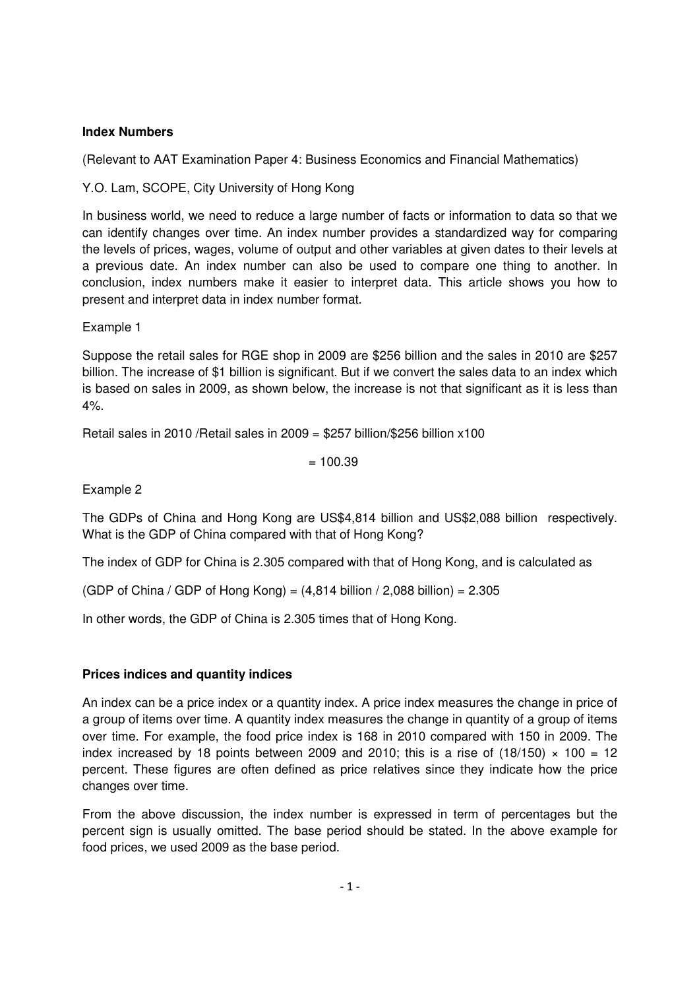## **Index Numbers**

(Relevant to AAT Examination Paper 4: Business Economics and Financial Mathematics)

Y.O. Lam, SCOPE, City University of Hong Kong

In business world, we need to reduce a large number of facts or information to data so that we can identify changes over time. An index number provides a standardized way for comparing the levels of prices, wages, volume of output and other variables at given dates to their levels at a previous date. An index number can also be used to compare one thing to another. In conclusion, index numbers make it easier to interpret data. This article shows you how to present and interpret data in index number format.

#### Example 1

Suppose the retail sales for RGE shop in 2009 are \$256 billion and the sales in 2010 are \$257 billion. The increase of \$1 billion is significant. But if we convert the sales data to an index which is based on sales in 2009, as shown below, the increase is not that significant as it is less than 4%.

Retail sales in 2010 /Retail sales in 2009 = \$257 billion/\$256 billion x100

 $= 100.39$ 

Example 2

The GDPs of China and Hong Kong are US\$4,814 billion and US\$2,088 billion respectively. What is the GDP of China compared with that of Hong Kong?

The index of GDP for China is 2.305 compared with that of Hong Kong, and is calculated as

(GDP of China / GDP of Hong Kong) =  $(4,814$  billion / 2,088 billion) = 2.305

In other words, the GDP of China is 2.305 times that of Hong Kong.

## **Prices indices and quantity indices**

An index can be a price index or a quantity index. A price index measures the change in price of a group of items over time. A quantity index measures the change in quantity of a group of items over time. For example, the food price index is 168 in 2010 compared with 150 in 2009. The index increased by 18 points between 2009 and 2010; this is a rise of (18/150)  $\times$  100 = 12 percent. These figures are often defined as price relatives since they indicate how the price changes over time.

From the above discussion, the index number is expressed in term of percentages but the percent sign is usually omitted. The base period should be stated. In the above example for food prices, we used 2009 as the base period.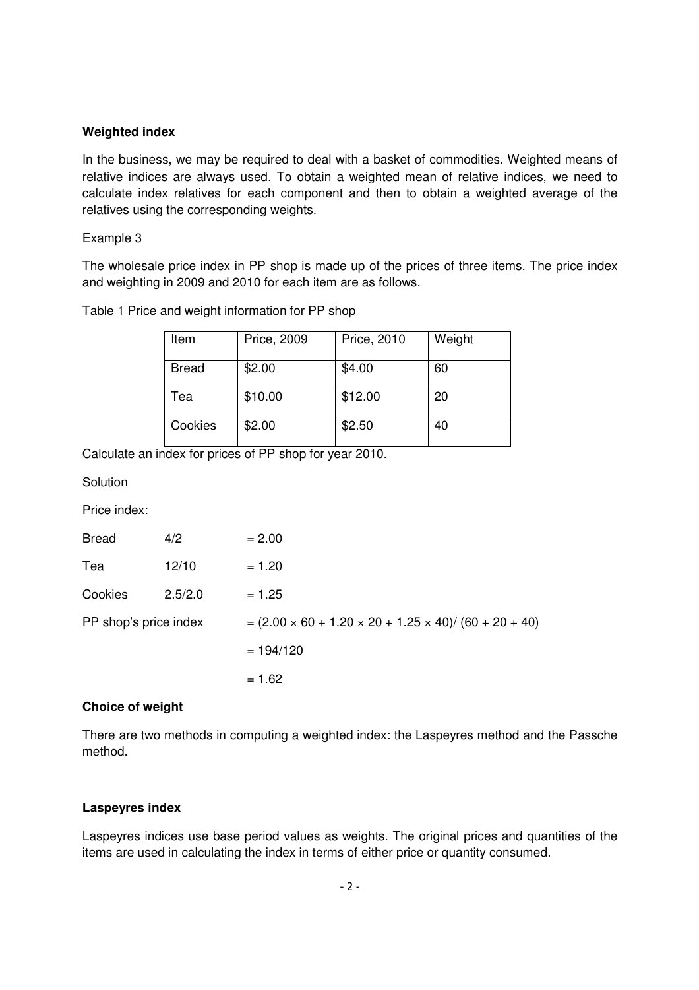#### **Weighted index**

In the business, we may be required to deal with a basket of commodities. Weighted means of relative indices are always used. To obtain a weighted mean of relative indices, we need to calculate index relatives for each component and then to obtain a weighted average of the relatives using the corresponding weights.

#### Example 3

The wholesale price index in PP shop is made up of the prices of three items. The price index and weighting in 2009 and 2010 for each item are as follows.

| Table 1 Price and weight information for PP shop |  |
|--------------------------------------------------|--|
|--------------------------------------------------|--|

| Item    | Price, 2009 | Price, 2010 | Weight |
|---------|-------------|-------------|--------|
| Bread   | \$2.00      | \$4.00      | 60     |
| Tea     | \$10.00     | \$12.00     | 20     |
| Cookies | \$2.00      | \$2.50      | 40     |

Calculate an index for prices of PP shop for year 2010.

**Solution** 

Price index:

| <b>Bread</b>          | 4/2     | $= 2.00$                                                             |
|-----------------------|---------|----------------------------------------------------------------------|
| Tea                   | 12/10   | $= 1.20$                                                             |
| Cookies               | 2.5/2.0 | $= 1.25$                                                             |
| PP shop's price index |         | $=(2.00 \times 60 + 1.20 \times 20 + 1.25 \times 40)/(60 + 20 + 40)$ |
|                       |         | $= 194/120$                                                          |
|                       |         | $= 1.62$                                                             |

## **Choice of weight**

There are two methods in computing a weighted index: the Laspeyres method and the Passche method.

## **Laspeyres index**

Laspeyres indices use base period values as weights. The original prices and quantities of the items are used in calculating the index in terms of either price or quantity consumed.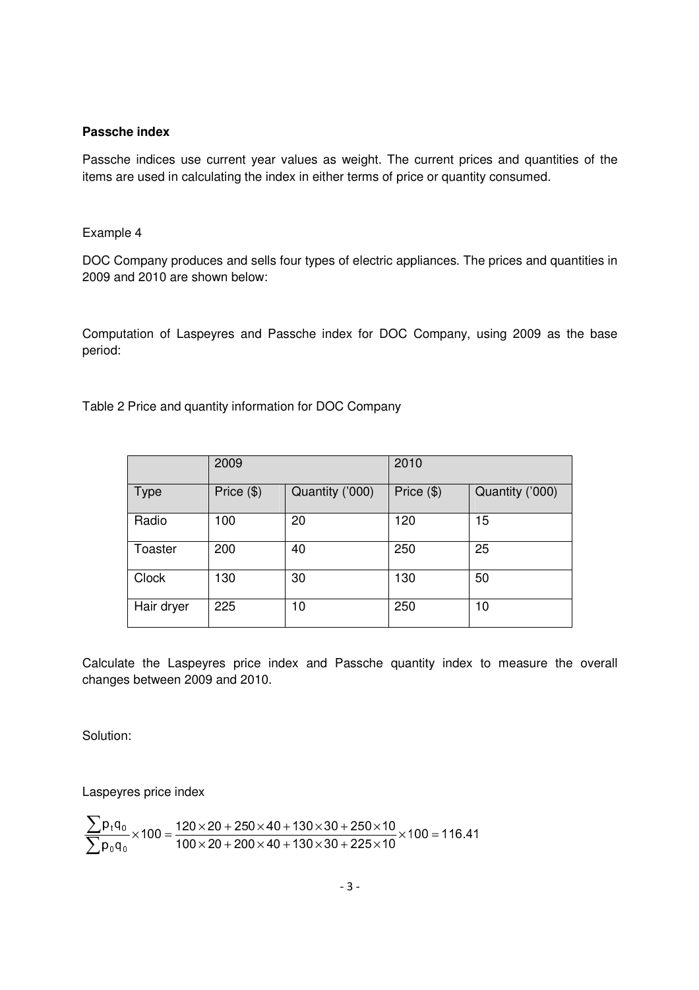#### **Passche index**

Passche indices use current year values as weight. The current prices and quantities of the items are used in calculating the index in either terms of price or quantity consumed.

#### Example 4

DOC Company produces and sells four types of electric appliances. The prices and quantities in 2009 and 2010 are shown below:

Computation of Laspeyres and Passche index for DOC Company, using 2009 as the base period:

Table 2 Price and quantity information for DOC Company

|              | 2009       |                 | 2010       |                 |
|--------------|------------|-----------------|------------|-----------------|
| <b>Type</b>  | Price (\$) | Quantity ('000) | Price (\$) | Quantity ('000) |
| Radio        | 100        | 20              | 120        | 15              |
| Toaster      | 200        | 40              | 250        | 25              |
| <b>Clock</b> | 130        | 30              | 130        | 50              |
| Hair dryer   | 225        | 10              | 250        | 10              |

Calculate the Laspeyres price index and Passche quantity index to measure the overall changes between 2009 and 2010.

Solution:

Laspeyres price index

$$
\frac{\displaystyle\sum p_t q_0}{\displaystyle\sum p_0 q_0} \times 100 = \frac{120 \times 20 + 250 \times 40 + 130 \times 30 + 250 \times 10}{100 \times 20 + 200 \times 40 + 130 \times 30 + 225 \times 10} \times 100 = 116.41
$$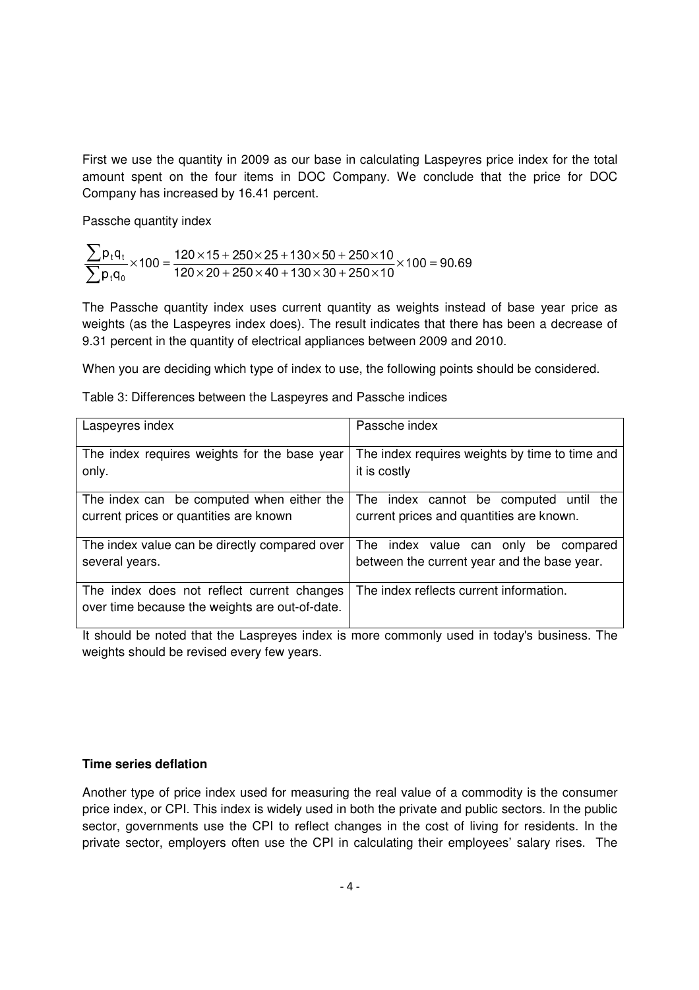First we use the quantity in 2009 as our base in calculating Laspeyres price index for the total amount spent on the four items in DOC Company. We conclude that the price for DOC Company has increased by 16.41 percent.

Passche quantity index

$$
\frac{\displaystyle\sum p_t q_t}{\displaystyle\sum p_t q_0}\times 100=\frac{120\times 15+250\times 25+130\times 50+250\times 10}{120\times 20+250\times 40+130\times 30+250\times 10}\times 100=90.69
$$

The Passche quantity index uses current quantity as weights instead of base year price as weights (as the Laspeyres index does). The result indicates that there has been a decrease of 9.31 percent in the quantity of electrical appliances between 2009 and 2010.

When you are deciding which type of index to use, the following points should be considered.

| Laspeyres index                                                                              | Passche index                                                                          |
|----------------------------------------------------------------------------------------------|----------------------------------------------------------------------------------------|
| The index requires weights for the base year<br>only.                                        | The index requires weights by time to time and<br>it is costly                         |
| The index can be computed when either the<br>current prices or quantities are known          | The index cannot be computed until the<br>current prices and quantities are known.     |
| The index value can be directly compared over<br>several years.                              | The index value can only be<br>compared<br>between the current year and the base year. |
| The index does not reflect current changes<br>over time because the weights are out-of-date. | The index reflects current information.                                                |

Table 3: Differences between the Laspeyres and Passche indices

It should be noted that the Laspreyes index is more commonly used in today's business. The weights should be revised every few years.

# **Time series deflation**

Another type of price index used for measuring the real value of a commodity is the consumer price index, or CPI. This index is widely used in both the private and public sectors. In the public sector, governments use the CPI to reflect changes in the cost of living for residents. In the private sector, employers often use the CPI in calculating their employees' salary rises. The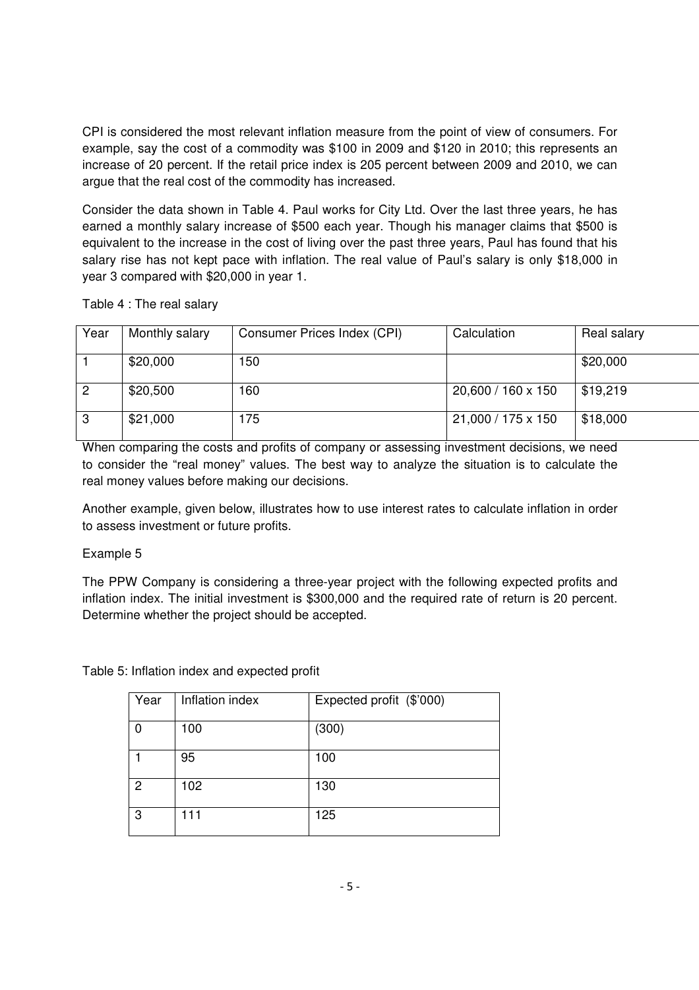CPI is considered the most relevant inflation measure from the point of view of consumers. For example, say the cost of a commodity was \$100 in 2009 and \$120 in 2010; this represents an increase of 20 percent. If the retail price index is 205 percent between 2009 and 2010, we can argue that the real cost of the commodity has increased.

Consider the data shown in Table 4. Paul works for City Ltd. Over the last three years, he has earned a monthly salary increase of \$500 each year. Though his manager claims that \$500 is equivalent to the increase in the cost of living over the past three years, Paul has found that his salary rise has not kept pace with inflation. The real value of Paul's salary is only \$18,000 in year 3 compared with \$20,000 in year 1.

| Table 4 : The real salary |  |
|---------------------------|--|
|---------------------------|--|

| Year           | Monthly salary | Consumer Prices Index (CPI) | Calculation        | Real salary |
|----------------|----------------|-----------------------------|--------------------|-------------|
|                | \$20,000       | 150                         |                    | \$20,000    |
| $\overline{2}$ | \$20,500       | 160                         | 20,600 / 160 x 150 | \$19,219    |
| 3              | \$21,000       | 175                         | 21,000 / 175 x 150 | \$18,000    |

When comparing the costs and profits of company or assessing investment decisions, we need to consider the "real money" values. The best way to analyze the situation is to calculate the real money values before making our decisions.

Another example, given below, illustrates how to use interest rates to calculate inflation in order to assess investment or future profits.

Example 5

The PPW Company is considering a three-year project with the following expected profits and inflation index. The initial investment is \$300,000 and the required rate of return is 20 percent. Determine whether the project should be accepted.

Table 5: Inflation index and expected profit

| Year | Inflation index | Expected profit (\$'000) |
|------|-----------------|--------------------------|
| ŋ    | 100             | (300)                    |
|      | 95              | 100                      |
| 2    | 102             | 130                      |
| 3    | 111             | 125                      |